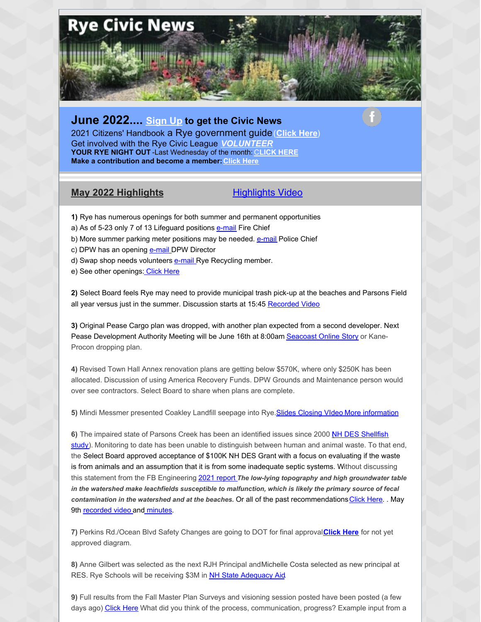

## **June 2022.... [Sign](https://ryecivicleague.org/?page_id=5112) Up to get the Civic News**

2021 Citizens' Handbook a Rye government guide(**[Click](https://ryecivicleague.org/wp-content/uploads/2021/10/final-handbook-2021-Final.pdf) Here**) Get involved with the Rye Civic League *[VOLUNTEER](https://ryecivicleague.org/?page_id=14)* **YOUR RYE NIGHT OUT** -Last Wednesday of the month: [C](https://ryecivicleague.org/?p=6194)**LICK [HERE](https://ryecivicleague.org/?p=6194) Make a contribution and become a member:[Click](https://www.paypal.com/donate?hosted_button_id=TF7ZYQ2M4EJR4) Here**

## **May 2022 Highlights**.........................[.Highlights](https://www.youtube.com/watch?v=HyU6ZaWmdh0) Video

- **1)** Rye has numerous openings for both summer and permanent opportunities
- a) As of 5-23 only 7 of 13 Lifeguard positions [e-mail](http://MCotreau@town.rye.nh.us) Fire Chief
- b) More summer parking meter positions may be needed. [e-mail](mailto:KWalsh@town.rye.nh.us) Police Chief
- c) DPW has an opening [e-mail](mailto:jrucker@town.rye.nh.us) DPW Director
- d) Swap shop needs volunteers [e-mail](mailto:alexherlihy@comcast.net) Rye Recycling member.
- e) See other openings: [Click](https://www.town.rye.nh.us/sites/g/files/vyhlif3751/f/uploads/volunteer_opportunities_36.pdf) Here

**2)** Select Board feels Rye may need to provide municipal trash pick-up at the beaches and Parsons Field all year versus just in the summer. Discussion starts at 15:45 [Recorded](https://townhallstreams.com/stream.php?location_id=32&id=45201) Video

**3)** Original Pease Cargo plan was dropped, with another plan expected from a second developer. Next Pease Development Authority Meeting will be June 16th at 8:00am [Seacoast](https://www.seacoastonline.com/story/news/local/2022/05/20/pease-air-cargo-facility-developers-portsmouth-nh-airport/9809667002/) Online Story or Kane-Procon dropping plan.

**4)** Revised Town Hall Annex renovation plans are getting below \$570K, where only \$250K has been allocated. Discussion of using America Recovery Funds. DPW Grounds and Maintenance person would over see contractors. Select Board to share when plans are complete.

**5)** Mindi Messmer presented Coakley Landfill seepage into Rye[.Slides](https://ryecivicleague.org/wp-content/uploads/2022/06/finalselectboardpresentation5-2022.pdf) [Closing](https://youtu.be/vTKCcUf4g58) VIdeo More [information](https://ryecivicleague.org/?p=6560)

6) The impaired state of Parsons Creek has been an identified issues since 2000 NH DES Shellfish study). Monitoring to date has been unable to [distinguish](https://ryecivicleague.org/wp-content/uploads/2015/11/2000-Shellfish-report-.pdf) between human and animal waste. To that end, the Select Board approved acceptance of \$100K NH DES Grant with a focus on evaluating if the waste is from animals and an assumption that it is from some inadequate septic systems. Without discussing this statement from the FB Engineering 2021 [report](https://ryecivicleague.org/wp-content/uploads/2022/01/2021_parsonsck_wqreport.pdf) *The low-lying topography and high groundwater table in the watershed make leachfields susceptible to malfunction, which is likely the primary source of fecal contamination in the watershed and at the beaches.* Or all of the past recommendations[Click](https://ryecivicleague.org/wp-content/uploads/2022/01/Jan-2022-Parsons-Creek-Actions-Table.pdf) Here. . May 9th [recorded](https://townhallstreams.com/stream.php?location_id=32&id=45195) video and [minutes.](https://www.town.rye.nh.us/sites/g/files/vyhlif3751/f/minutes/05-09-22_bos_minutes.pdf)

**7)** Perkins Rd./Ocean Blvd Safety Changes are going to DOT for final approval.**[Click](https://www.town.rye.nh.us/sites/g/files/vyhlif3751/f/uploads/perkins_road_intersection_hybrid_plan_2022.jpg) Here** for not yet approved diagram.

**8)** Anne Gilbert was selected as the next RJH Principal andMichelle Costa selected as new principal at RES. Rye Schools will be receiving \$3M in NH State [Adequacy](https://www.education.nh.gov/sites/g/files/ehbemt326/files/inline-documents/sonh/fy2022-explained.pdf) Aid.

**9)** Full results from the Fall Master Plan Surveys and visioning session posted have been posted (a few days ago) [Click](https://www.town.rye.nh.us/planning-department/pages/visioning-rye-master-plan) Here What did you think of the process, communication, progress? Example input from a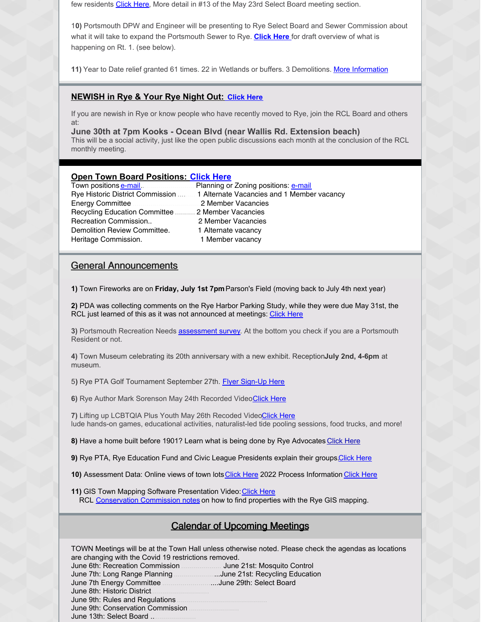few residents [Click](https://ryecivicleague.org/wp-content/uploads/2022/06/Master-Plan-Process-comments-June-2022.pdf) Here, More detail in #13 of the May 23rd Select Board meeting section.

1**0)** Portsmouth DPW and Engineer will be presenting to Rye Select Board and Sewer Commission about what it will take to expand the Portsmouth Sewer to Rye. **[Click](https://ryecivicleague.org/wp-content/uploads/2022/06/Ryes-Route-1-Lafayette-Road-June-1-2022-Draft.pdf) Here** for draft overview of what is happening on Rt. 1. (see below).

**11)** Year to Date relief granted 61 times. 22 in Wetlands or buffers. 3 Demolitions. More [Information](https://ryecivicleague.org/wp-content/uploads/2022/06/May-ZBA.pdf)

#### **NEWISH in Rye & Your Rye Night Out: [Click](https://ryecivicleague.org/?p=6194) Here**

If you are newish in Rye or know people who have recently moved to Rye, join the RCL Board and others at:

**June 30th at 7pm Kooks - Ocean Blvd (near Wallis Rd. Extension beach)** This will be a social activity, just like the open public discussions each month at the conclusion of the RCL monthly meeting.

#### **Open Town Board Positions: [Click](https://www.town.rye.nh.us/sites/g/files/vyhlif3751/f/uploads/volunteer_opportunities_36.pdf) Here**

|                                                   | Rye Historic District Commission  1 Alternate Vacancies and 1 Member vacancy |
|---------------------------------------------------|------------------------------------------------------------------------------|
|                                                   |                                                                              |
| Recycling Education Committee  2 Member Vacancies |                                                                              |
| Recreation Commission                             | 2 Member Vacancies                                                           |
| Demolition Review Committee.                      | 1 Alternate vacancy                                                          |
| Heritage Commission.                              | 1 Member vacancy                                                             |
|                                                   |                                                                              |

#### General Announcements

**1)** Town Fireworks are on **Friday, July 1st 7pm** Parson's Field (moving back to July 4th next year)

**2)** PDA was collecting comments on the Rye Harbor Parking Study, while they were due May 31st, the RCL just learned of this as it was not announced at meetings: [Click](https://peasedev.org/wp-content/uploads/2022/04/Rye-parking-invite-to-comment-website_1-002.pdf) Here

**3)** Portsmouth Recreation Needs [assessment](https://www.surveymonkey.com/r/PortsmouthRecreationalNeedsAnalysis) survey. At the bottom you check if you are a Portsmouth Resident or not.

**4)** Town Museum celebrating its 20th anniversary with a new exhibit. Reception**July 2nd, 4-6pm** at museum.

5**)** Rye PTA Golf Tournament September 27th. [Flyer](https://ryecivicleague.org/wp-content/uploads/2022/06/PTA-Golf-Tournament.jpg) [Sign-Up](https://my.cheddarup.com/c/res-fundraiser-golf-tournament) Here

**6)** Rye Author Mark Sorenson May 24th Recorded Video[Click](https://townhallstreams.com/stream.php?location_id=66&id=45656) Here

**7)** Lifting up LCBTQIA Plus Youth May 26th Recoded Vide[oClick](https://townhallstreams.com/stream.php?location_id=66&id=45720) Here lude hands-on games, educational activities, naturalist-led tide pooling sessions, food trucks, and more!

8) Have a home built before 1901? Learn what is being done by Rye Advocates [Click](https://ryecivicleague.org/?p=5823) Here

**9)** Rye PTA, Rye Education Fund and Civic League Presidents explain their groups Click Here

10) Assessment Data: Online views of town lots [Click](https://www.town.rye.nh.us/assessing-department/pages/2022-revaluation-information) Here 2022 Process Information Click Here

**11)** GIS Town Mapping Software Presentation Video: [Click](http://r20.rs6.net/tn.jsp?t=xkvxbzabb.0.0.dyij4jiab.0&id=preview&r=3&p=http%3A%2F%2Fwww.townhallstreams.com%2Flocations%2Frye-public-library%2Fevents%2F24445%2Frye_public_library2) Here RCL [Conservation](http://r20.rs6.net/tn.jsp?t=xkvxbzabb.0.0.dyij4jiab.0&id=preview&r=3&p=https%3A%2F%2Fryecivicleague.org%2F%3Fp%3D4283) Commission notes on how to find properties with the Rye GIS mapping.

## Calendar of Upcoming Meetings

TOWN Meetings will be at the Town Hall unless otherwise noted. Please check the agendas as locations are changing with the Covid 19 restrictions removed. June 6th: Recreation Commission .................... June 21st: Mosquito Control June 7th: Long Range Planning .......................June 21st: Recycling Education June 7th Energy Committee ............................June 29th: Select Board June 8th: Historic District. June 9th: Rules and Regulations. June 9th: Conservation Commission . June 13th: Select Board ...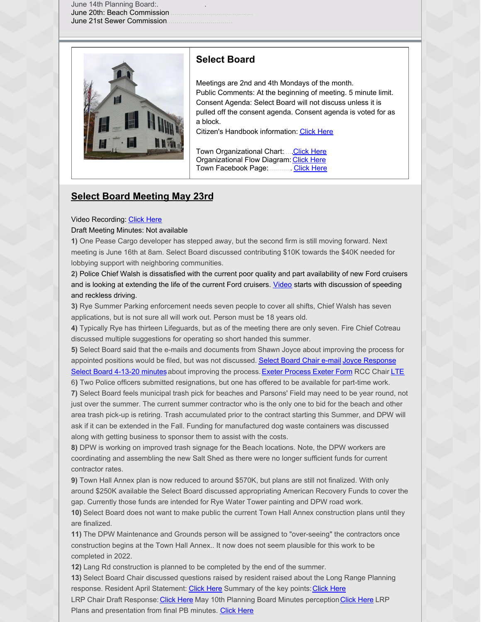June 14th Planning Board:.. June 20th: Beach Commission. June 21st Sewer Commission...



## **Select Board**

Meetings are 2nd and 4th Mondays of the month. Public Comments: At the beginning of meeting. 5 minute limit. Consent Agenda: Select Board will not discuss unless it is pulled off the consent agenda. Consent agenda is voted for as a block.

Citizen's Handbook information: [Click](https://ryecivicleague.org/wp-content/uploads/2020/10/Select-Board-2020.pdf) Here

Town Organizational Chart:....[.Click](https://www.town.rye.nh.us/sites/g/files/vyhlif3751/f/uploads/organizational_chart.pdf) Here Organizational Flow Diagram: [Click](https://www.town.rye.nh.us/sites/g/files/vyhlif3751/f/uploads/organizational_chart_info.pdf) Here Town Facebook Page:............ [Click](https://www.facebook.com/TownofRyeNH/?rf=138323789548498) Here

#### **Select Board Meeting May 23rd**

#### Video Recording: [Click](https://townhallstreams.com/stream.php?location_id=32&id=45201) Here

Draft Meeting Minutes: Not available

**1)** One Pease Cargo developer has stepped away, but the second firm is still moving forward. Next meeting is June 16th at 8am. Select Board discussed contributing \$10K towards the \$40K needed for lobbying support with neighboring communities.

**2)** Police Chief Walsh is dissatisfied with the current poor quality and part availability of new Ford cruisers and is looking at extending the life of the current Ford cruisers. [Video](https://townhallstreams.com/stream.php?location_id=32&id=45201) starts with discussion of speeding and reckless driving.

**3)** Rye Summer Parking enforcement needs seven people to cover all shifts, Chief Walsh has seven applications, but is not sure all will work out. Person must be 18 years old.

**4)** Typically Rye has thirteen Lifeguards, but as of the meeting there are only seven. Fire Chief Cotreau discussed multiple suggestions for operating so short handed this summer.

**5)** Select Board said that the e-mails and documents from Shawn Joyce about improving the process for appointed positions would be filed, but was not discussed. [Select](https://www.seacoastonline.com/story/news/local/2022/05/20/pease-air-cargo-facility-developers-portsmouth-nh-airport/9809667002/) Board Chair e-mail Joyce [Response](https://ryecivicleague.org/wp-content/uploads/2022/06/Joyce-May-14th-Response.pdf) Select Board [4-13-20](https://ryecivicleague.org/wp-content/uploads/2022/06/4-13-20_bos_minutes.pdf) minutes about improving the process. Exeter [Process](https://ryecivicleague.org/wp-content/uploads/2022/06/cc_bylaws_adopted_11-10-20.pdf) [Exeter](https://ryecivicleague.org/wp-content/uploads/2022/06/Exeter-board_committee_application_3-1.pdf) Form RCC Chair [LTE](https://ryecivicleague.org/wp-content/uploads/2022/06/Suzanne-McFarland.RCC-LTE.pdf)

6**)** Two Police officers submitted resignations, but one has offered to be available for part-time work. **7)** Select Board feels municipal trash pick for beaches and Parsons' Field may need to be year round, not just over the summer. The current summer contractor who is the only one to bid for the beach and other area trash pick-up is retiring. Trash accumulated prior to the contract starting this Summer, and DPW will ask if it can be extended in the Fall. Funding for manufactured dog waste containers was discussed along with getting business to sponsor them to assist with the costs.

**8)** DPW is working on improved trash signage for the Beach locations. Note, the DPW workers are coordinating and assembling the new Salt Shed as there were no longer sufficient funds for current contractor rates.

**9)** Town Hall Annex plan is now reduced to around \$570K, but plans are still not finalized. With only around \$250K available the Select Board discussed appropriating American Recovery Funds to cover the gap. Currently those funds are intended for Rye Water Tower painting and DPW road work.

**10)** Select Board does not want to make public the current Town Hall Annex construction plans until they are finalized.

**11)** The DPW Maintenance and Grounds person will be assigned to "over-seeing" the contractors once construction begins at the Town Hall Annex.. It now does not seem plausible for this work to be completed in 2022.

**12)** Lang Rd construction is planned to be completed by the end of the summer.

**13)** Select Board Chair discussed questions raised by resident raised about the Long Range Planning response. Resident April Statement: [Click](https://ryecivicleague.org/wp-content/uploads/2022/06/Master-Plan-Process-comments.pdf) Here Summary of the key points: Click Here

LRP Chair Draft Response: Click [Here](https://ryecivicleague.org/wp-content/uploads/2022/06/Master-Plan-Process-comments.pdf) May 10th Planning Board Minutes perception [Click](https://ryecivicleague.org/wp-content/uploads/2022/06/PB-Minutes-Feb-) Here LRP Plans and presentation from final PB minutes. Click [Here](https://ryecivicleague.org/wp-content/uploads/2022/06/PB-Minutes-Feb-8-2022-Expanded-2.pdf)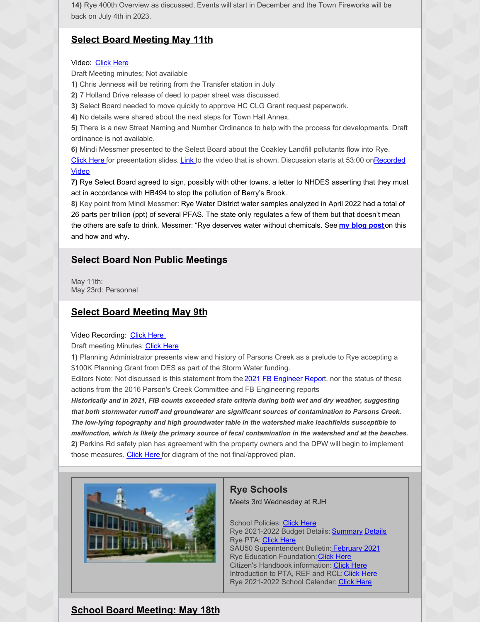1**4)** Rye 400th Overview as discussed, Events will start in December and the Town Fireworks will be back on July 4th in 2023.

#### **Select Board Meeting May 11th**

#### Video: [Click](https://townhallstreams.com/stream.php?location_id=32&id=45196) Here

Draft Meeting minutes; Not available

- **1)** Chris Jenness will be retiring from the Transfer station in July
- **2)** 7 Holland Drive release of deed to paper street was discussed.
- **3)** Select Board needed to move quickly to approve HC CLG Grant request paperwork.
- **4)** No details were shared about the next steps for Town Hall Annex.

**5)** There is a new Street Naming and Number Ordinance to help with the process for developments. Draft ordinance is not available.

**6)** Mindi Messmer presented to the Select Board about the Coakley Landfill pollutants flow into Rye.

Click [Here](https://ryecivicleague.org/wp-content/uploads/2022/06/finalselectboardpresentation5-2022.pdf) for [presentation](https://townhallstreams.com/stream.php?location_id=32&id=45196) slides. [Link](https://youtu.be/vTKCcUf4g58) to the video that is shown. Discussion starts at 53:00 onRecorded Video

**7)** Rye Select Board agreed to sign, possibly with other towns, a letter to NHDES asserting that they must act in accordance with HB494 to stop the pollution of Berry's Brook.

**8)** Key point from Mindi Messmer: Rye Water District water samples analyzed in April 2022 had a total of 26 parts per trillion (ppt) of several PFAS. The state only regulates a few of them but that doesn't mean the others are safe to drink. Messmer: "Rye deserves water without chemicals. See **my [blog](https://mindimessmer-author.medium.com/why-dont-i-trust-them-f86b31a3cf55) pos[t](https://mindimessmer-author.medium.com/why-dont-i-trust-them-f86b31a3cf55)**on this and how and why.

#### **Select Board Non Public Meetings**

May 11th: May 23rd: Personnel

#### **Select Board Meeting May 9th**

#### Video Recording: Click [Here](https://townhallstreams.com/stream.php?location_id=32&id=45195)

Draft meeting Minutes: [Click](https://www.town.rye.nh.us/sites/g/files/vyhlif3751/f/minutes/05-09-22_bos_minutes.pdf) Here

**1)** Planning Administrator presents view and history of Parsons Creek as a prelude to Rye accepting a \$100K Planning Grant from DES as part of the Storm Water funding.

Editors Note: Not discussed is this statement from the 2021 FB [Engineer](https://ryecivicleague.org/wp-content/uploads/2022/01/2021_parsonsck_wqreport.pdf) Report, nor the status of these actions from the 2016 Parson's Creek Committee and FB Engineering reports

*Historically and in 2021, FIB counts exceeded state criteria during both wet and dry weather, suggesting that both stormwater runoff and groundwater are significant sources of contamination to Parsons Creek. The low-lying topography and high groundwater table in the watershed make leachfields susceptible to* malfunction, which is likely the primary source of fecal contamination in the watershed and at the beaches. **2)** Perkins Rd safety plan has agreement with the property owners and the DPW will begin to implement those measures. Click [Here](https://ryecivicleague.org/wp-content/uploads/2022/06/Perkins-Road-Intersection-Hybrid-Plan.pdf) for diagram of the not final/approved plan.



#### **Rye Schools**

Meets 3rd Wednesday at RJH

School Policies: [Click](http://sau50.org/about_us/school_board/policies) Here Rye 2021-2022 Budget [Details](https://ryecivicleague.org/wp-content/uploads/2021/01/Rye-2021-2022-Final-Budget-Summary.pdf): **[Summary](https://ryecivicleague.org/wp-content/uploads/2021/01/RYE-21-22-FINAL-BUDGET-OVERVIEW.pdf) Details** Rye PTA: [Click](https://www.ryepta.org/) Here SAU50 Superintendent Bulletin: [February](http://sau50.ss13.sharpschool.com/UserFiles/Servers/Server_124221/File/Superintendent Messages/Superintendent Bulletin February 2021.pdf) 2021 Rye Education Foundation: [Click](https://www.ryeeducationfoundation.org/) Here Citizen's Handbook information: [Click](https://ryecivicleague.org/wp-content/uploads/2020/10/Schools-2020.pdf) Here Introduction to PTA, REF and RCL: [Click](https://youtu.be/DWks0m4ykZA) Here Rye 2021-2022 School Calendar: [Click](http://sau50.ss13.sharpschool.com/UserFiles/Servers/Server_124221/File/School Calendars/Final 2021-2022/RYE 2021-2022 Final  - Calendar.pdf) Here

## **School Board Meeting: May 18th**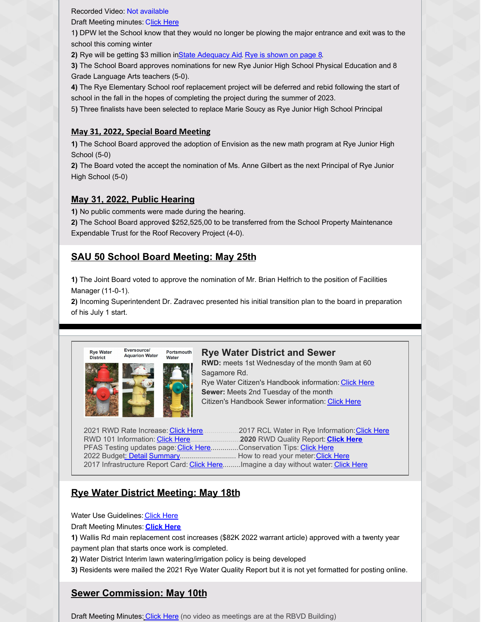Recorded Video: Not available

Draft Meeting minutes: Click [Here](https://cdn5-ss13.sharpschool.com/UserFiles/Servers/Server_205704/File/Agendas and Minutes/Rye Draft school board minutes 5-18-22.pdf)

1**)** DPW let the School know that they would no longer be plowing the major entrance and exit was to the school this coming winter

**2)** Rye will be getting \$3 million inState [Adequacy](https://www.education.nh.gov/sites/g/files/ehbemt326/files/inline-documents/sonh/fy2022-explained.pdf) Aid. Rye is [shown](https://www.education.nh.gov/sites/g/files/ehbemt326/files/inline-documents/sonh/adequacy-fy-22-muni-summary.pdf) on page 8.

**3)** The School Board approves nominations for new Rye Junior High School Physical Education and 8 Grade Language Arts teachers (5-0).

**4)** The Rye Elementary School roof replacement project will be deferred and rebid following the start of school in the fall in the hopes of completing the project during the summer of 2023.

5**)** Three finalists have been selected to replace Marie Soucy as Rye Junior High School Principal

#### **May 31, 2022, Special Board Meeting**

**1)** The School Board approved the adoption of Envision as the new math program at Rye Junior High School (5-0)

**2)** The Board voted the accept the nomination of Ms. Anne Gilbert as the next Principal of Rye Junior High School (5-0)

#### **May 31, 2022, Public Hearing**

**1)** No public comments were made during the hearing.

**2)** The School Board approved \$252,525,00 to be transferred from the School Property Maintenance Expendable Trust for the Roof Recovery Project (4-0).

# **SAU 50 School Board Meeting: May 25th**

**1)** The Joint Board voted to approve the nomination of Mr. Brian Helfrich to the position of Facilities Manager (11-0-1).

**2)** Incoming Superintendent Dr. Zadravec presented his initial transition plan to the board in preparation of his July 1 start.



#### **Rye Water District and Sewer**

**RWD:** meets 1st Wednesday of the month 9am at 60 Sagamore Rd. Rye Water Citizen's Handbook information: [Click](https://ryecivicleague.org/wp-content/uploads/2020/10/Schools-2020.pdf) Here **Sewer:** Meets 2nd Tuesday of the month

Citizen's Handbook Sewer information: [Click](https://ryecivicleague.org/wp-content/uploads/2020/10/Sewer-2020.pdf) Here

2021 RWD Rate Increase: [Click](https://ryecivicleague.org/wp-content/uploads/2021/02/RWD-Rate-Increase-April-21.pdf) Here..................2017 RCL Water in Rye Information:[Click](https://ryecivicleague.org/wp-content/uploads/2017/09/Water-in-Rye-Presentation-Final-8-Nov-17-1.pdf) Here RWD 101 Information: Click [Here.](https://ryecivicleague.org/wp-content/uploads/2017/09/RWD-Rye-Water-101.pdf)........................**2020** RWD Quality Report: **[Click](https://www.ryewaterdistrict.com/water-quality-report-and-sanitary-survey) Here** PFAS Testing updates page: [Click](https://www.ryewaterdistrict.com/conservation-tips) Here..............Conservation Tips: Click Here 2022 Budget: [Detail](https://ryecivicleague.org/wp-content/uploads/2022/02/RWD-BUDGET-2022.pdf) [Summary](https://ryecivicleague.org/wp-content/uploads/2022/02/RWD-BUDGET-SUMMARY-2022.pdf)............................. How to read your meter: [Click](https://www.ryewaterdistrict.com/documents/1076/Meter_Reading_Guide.pdf) Here 2017 Infrastructure Report Card: [Click](https://www.ryewaterdistrict.com/blog_detail.html?item_id=122) Here.........Imagine a day without water: Click Here

## **Rye Water District Meeting: May 18th**

Water Use Guidelines: Click [Here](https://www.ryewaterdistrict.com/images/images_rwi/rwi_1076_2021_Water_Conservation_-_Web_version_1352902479_4269.pdf)

Draft Meeting Minutes: **[Click](https://www.ryewaterdistrict.com/documents/1076/RWD_Minutes_5-18-22.pdf) Here**

**1)** Wallis Rd main replacement cost increases (\$82K 2022 warrant article) approved with a twenty year payment plan that starts once work is completed.

**2)** Water District Interim lawn watering/irrigation policy is being developed

**3)** Residents were mailed the 2021 Rye Water Quality Report but it is not yet formatted for posting online.

# **Sewer Commission: May 10th**

Draft Meeting Minutes[:](https://www.town.rye.nh.us/sites/g/files/vyhlif3751/f/minutes/2._sewer_commission_meeting_minutes_march_8_2022.pdf) [Click](https://www.town.rye.nh.us/sites/g/files/vyhlif3751/f/minutes/5._sewer_commission_meeting_minutes_may_10_2022.pdf) Here (no video as meetings are at the RBVD Building)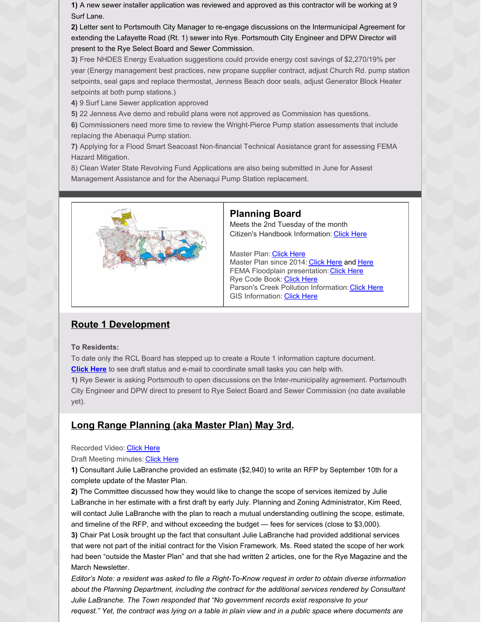**1)** A new sewer installer application was reviewed and approved as this contractor will be working at 9 Surf Lane.

**2)** Letter sent to Portsmouth City Manager to re-engage discussions on the Intermunicipal Agreement for extending the Lafayette Road (Rt. 1) sewer into Rye. Portsmouth City Engineer and DPW Director will present to the Rye Select Board and Sewer Commission.

**3)** Free NHDES Energy Evaluation suggestions could provide energy cost savings of \$2,270/19% per year (Energy management best practices, new propane supplier contract, adjust Church Rd. pump station setpoints, seal gaps and replace thermostat, Jenness Beach door seals, adjust Generator Block Heater setpoints at both pump stations.)

**4)** 9 Surf Lane Sewer application approved

**5)** 22 Jenness Ave demo and rebuild plans were not approved as Commission has questions.

**6)** Commissioners need more time to review the Wright-Pierce Pump station assessments that include replacing the Abenaqui Pump station.

**7)** Applying for a Flood Smart Seacoast Non-financial Technical Assistance grant for assessing FEMA Hazard Mitigation.

8) Clean Water State Revolving Fund Applications are also being submitted in June for Assest Management Assistance and for the Abenaqui Pump Station replacement.



#### **Planning Board**

Meets the 2nd Tuesday of the month Citizen's Handbook Information: [Click](https://ryecivicleague.org/wp-content/uploads/2020/10/Planning-and-Zoning.pdf) Here

Master Plan: [Click](https://www.town.rye.nh.us/planning-department/pages/master-plan) Here Master Plan since 2014: [Click](https://ryecivicleague.org/wp-content/uploads/2017/09/RCL-News-Master-Plan-updates-timeline-Sept-5-2017.pdf) [Here](https://ryecivicleague.org/?p=3377) and Here FEMA Floodplain presentation: [Click](https://www.town.rye.nh.us/sites/g/files/vyhlif3751/f/news/new_map_presentation_10-15-2020.pdf) Here Rye Code Book: [Click](https://www.town.rye.nh.us/sites/g/files/vyhlif3751/f/pages/town_of_rye_code_book_0.pdf) Here Parson's Creek Pollution Information: [Click](https://ryecivicleague.org/?p=2630) Here GIS Information: [Click](https://www.axisgis.com/RyeNH/Default.aspx) Here

## **Route 1 Development**

#### **To Residents:**

To date only the RCL Board has stepped up to create a Route 1 information capture document. **[Click](https://ryecivicleague.org/wp-content/uploads/2022/06/Ryes-Route-1-Lafayette-Road-June-1-2022-Draft.pdf) Here** to see draft status and e-mail to coordinate small tasks you can help with.

**1)** Rye Sewer is asking Portsmouth to open discussions on the Inter-municipality agreement. Portsmouth City Engineer and DPW direct to present to Rye Select Board and Sewer Commission (no date available yet).

## **Long Range Planning (aka Master Plan) May 3rd.**

#### Recorded Video: Click [Here](https://townhallstreams.com/stream.php?location_id=32&id=45194)

#### Draft Meeting minutes: [Click](https://www.town.rye.nh.us/sites/g/files/vyhlif3751/f/minutes/lrp_minutes_5-03-22.pdf) Here

**1)** Consultant Julie LaBranche provided an estimate (\$2,940) to write an RFP by September 10th for a complete update of the Master Plan.

**2)** The Committee discussed how they would like to change the scope of services itemized by Julie LaBranche in her estimate with a first draft by early July. Planning and Zoning Administrator, Kim Reed, will contact Julie LaBranche with the plan to reach a mutual understanding outlining the scope, estimate, and timeline of the RFP, and without exceeding the budget — fees for services (close to \$3,000).

**3)** Chair Pat Losik brought up the fact that consultant Julie LaBranche had provided additional services that were not part of the initial contract for the Vision Framework. Ms. Reed stated the scope of her work had been "outside the Master Plan" and that she had written 2 articles, one for the Rye Magazine and the March Newsletter.

Editor's Note: a resident was asked to file a Right-To-Know request in order to obtain diverse information *about the Planning Department, including the contract for the additional services rendered by Consultant Julie LaBranche. The Town responded that "No government records exist responsive to your* request." Yet, the contract was lying on a table in plain view and in a public space where documents are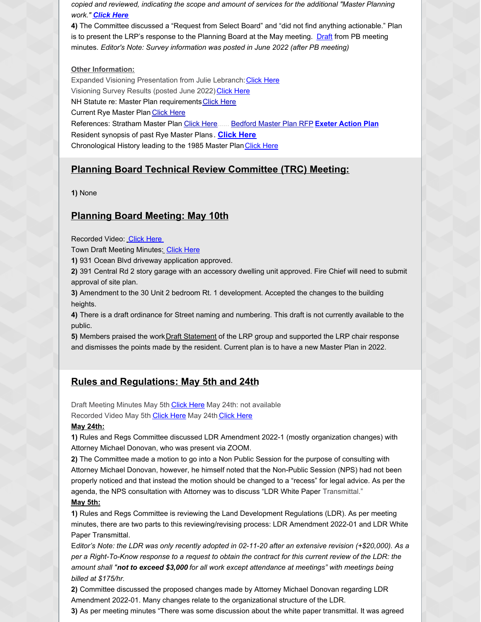*copied and reviewed, indicating the scope and amount of services for the additional "Master Planning work." [Click](https://ryecivicleague.org/wp-content/uploads/2022/06/Resident-RTK-response-May-2022.pdf) Here*

**4)** The Committee discussed a "Request from Select Board" and "did not find anything actionable." Plan is to present the LRP's response to the Planning Board at the May meeting. [Draft](https://ryecivicleague.org/wp-content/uploads/2022/06/LRP-Chair-Draft-Response-5-10-22.pdf) from PB meeting minutes. *Editor's Note: Survey information was posted in June 2022 (after PB meeting)*

#### **Other Information:**

Expanded Visioning Presentation from Julie Lebranch: [Click](https://ryecivicleague.org/wp-content/uploads/2022/06/Expanded-Julie-Lebranch-presentation-Feb-8-2022.pdf) Here Visioning Survey Results (posted June 2022) [Click](https://www.town.rye.nh.us/planning-department/pages/visioning-rye-master-plan) Here NH Statute re: Master Plan requirements [Click](https://ryecivicleague.org/wp-content/uploads/2021/03/NH-Title-64-section-674-Planning.pdf) Here **Current Rye Master Plan [Click](https://www.town.rye.nh.us/planning-department/pages/master-plan) Here** References: Stratham Master Plan [Click](https://www.strathamnh.gov/sites/g/files/vyhlif5051/f/uploads/2019.11.20_masterplan_adopted.pdf) Here...... [Bedford](http://granitestatefutures.org/news/wp-content/uploads/2018/06/Bedford_Master_Plan_RFP_2_27_2018.pdf) Master Plan RFP **Exeter [Action](https://www.exeternh.gov/sites/default/files/fileattachments/planning_amp_sustainability/page/10161/master_plan_analysis_memo_to_pb_4-8-2021.pdf) Plan** Resident synopsis of past Rye Master Plans. **[Click](https://ryecivicleague.org/wp-content/uploads/2021/02/Opinion-Feb-Master-Plan-2021.pdf) Here** Chronological History leading to the 1985 Master Plan [Click](https://ryecivicleague.org/wp-content/uploads/2021/05/Chronology-of-the-Rye-MP-May-2021.pdf) Here

#### **Planning Board Technical Review Committee (TRC) Meeting:**

**1)** None

#### **Planning Board Meeting: May 10th**

Recorded Video: Click [Here](https://townhallstreams.com/stream.php?location_id=66&id=45203)

Town Draft Meeting Minutes[:](https://www.town.rye.nh.us/sites/g/files/vyhlif3751/f/minutes/pb_minutes_3-09-21.pdf) [Click](https://www.town.rye.nh.us/sites/g/files/vyhlif3751/f/minutes/pb_minutes_5-10-22_0.pdf) Here

**1)** 931 Ocean Blvd driveway application approved.

**2)** 391 Central Rd 2 story garage with an accessory dwelling unit approved. Fire Chief will need to submit approval of site plan.

**3)** Amendment to the 30 Unit 2 bedroom Rt. 1 development. Accepted the changes to the building heights.

**4)** There is a draft ordinance for Street naming and numbering. This draft is not currently available to the public.

5) Members praised the work Draft [Statement](https://ryecivicleague.org/wp-content/uploads/2022/06/LRP-Chair-Draft-Response-5-10-22.pdf) of the LRP group and supported the LRP chair response and dismisses the points made by the resident. Current plan is to have a new Master Plan in 2022.

## **Rules and Regulations: May 5th and 24th**

Draft Meeting Minutes May 5th [Click](https://www.town.rye.nh.us/sites/g/files/vyhlif3751/f/minutes/rr_minutes_5-05-22.pdf) Here May 24th: not available

Recorded Video May 5th [Click](https://townhallstreams.com/stream.php?location_id=32&id=45192) Here May 24th [Click](https://townhallstreams.com/stream.php?location_id=32&id=45612) Here

#### **May 24th:**

**1)** Rules and Regs Committee discussed LDR Amendment 2022-1 (mostly organization changes) with Attorney Michael Donovan, who was present via ZOOM.

**2)** The Committee made a motion to go into a Non Public Session for the purpose of consulting with Attorney Michael Donovan, however, he himself noted that the Non-Public Session (NPS) had not been properly noticed and that instead the motion should be changed to a "recess" for legal advice. As per the agenda, the NPS consultation with Attorney was to discuss "LDR White Paper Transmittal." **May 5th:**

**1)** Rules and Regs Committee is reviewing the Land Development Regulations (LDR). As per meeting minutes, there are two parts to this reviewing/revising process: LDR Amendment 2022-01 and LDR White Paper Transmittal.

E*ditor's Note: the LDR was only recently adopted in 02-11-20 after an extensive revision (+\$20,000). As a* per a Right-To-Know response to a request to obtain the contract for this current review of the LDR: the *amount shall "not to exceed \$3,000 for all work except attendance at meetings" with meetings being billed at \$175/hr.*

**2)** Committee discussed the proposed changes made by Attorney Michael Donovan regarding LDR Amendment 2022-01. Many changes relate to the organizational structure of the LDR.

**3)** As per meeting minutes "There was some discussion about the white paper transmittal. It was agreed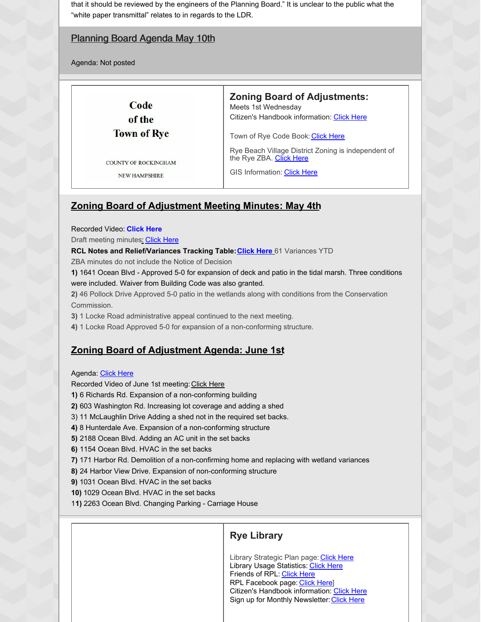that it should be reviewed by the engineers of the Planning Board." It is unclear to the public what the "white paper transmittal" relates to in regards to the LDR.

## Planning Board Agenda May 10th

Agenda: Not posted

Code of the **Town of Rye** 

COUNTY OF ROCKINGHAM **NEW HAMPSHIRE** 

**Zoning Board of Adjustments:**

Meets 1st Wednesday Citizen's Handbook information: [Click](https://ryecivicleague.org/wp-content/uploads/2020/10/zba-2020.pdf) Here

Town of Rye Code Book: [Click](https://www.town.rye.nh.us/sites/g/files/vyhlif3751/f/pages/town_of_rye_code_book_0.pdf) Here

Rye Beach Village District Zoning is independent of the Rye ZBA. [Click](https://www.town.rye.nh.us/building-inspection-code-enforcement/pages/rye-beach-village-district) Here

GIS Information: [Click](https://www.axisgis.com/RyeNH/Default.aspx) Here

## **Zoning Board of Adjustment Meeting Minutes: May 4th**

Recorded Video: **Click Here**

Draft meeting minute[s:](https://townhallstreams.com/stream.php?location_id=66&id=44071) [Click](https://www.town.rye.nh.us/sites/g/files/vyhlif3751/f/minutes/boa_minutes_5-04-22.pdf) Here

**RCL Notes and Relief/Variances Tracking Table[:Click](https://ryecivicleague.org/wp-content/uploads/2022/06/May-ZBA.pdf) Here** 61 Variances YTD

ZBA minutes do not include the Notice of Decision

**1)** 1641 Ocean Blvd - Approved 5-0 for expansion of deck and patio in the tidal marsh. Three conditions were included. Waiver from Building Code was also granted.

**2)** 46 Pollock Drive Approved 5-0 patio in the wetlands along with conditions from the Conservation Commission.

**3)** 1 Locke Road administrative appeal continued to the next meeting.

**4)** 1 Locke Road Approved 5-0 for expansion of a non-conforming structure.

## **Zoning Board of Adjustment Agenda: June 1st**

#### Agenda: [Click](https://www.town.rye.nh.us/sites/g/files/vyhlif3751/f/agendas/june_1_2022.pdf) Here

Recorded Video of June 1st meeting: [Click](https://townhallstreams.com/stream.php?location_id=66&id=45786) Here

**1)** 6 Richards Rd. Expansion of a non-conforming building

- **2)** 603 Washington Rd. Increasing lot coverage and adding a shed
- 3) 11 McLaughlin Drive Adding a shed not in the required set backs.
- **4)** 8 Hunterdale Ave. Expansion of a non-conforming structure
- **5)** 2188 Ocean Blvd. Adding an AC unit in the set backs
- **6)** 1154 Ocean Blvd. HVAC in the set backs

**7)** 171 Harbor Rd. Demolition of a non-confirming home and replacing with wetland variances

**8)** 24 Harbor View Drive. Expansion of non-conforming structure

**9)** 1031 Ocean Blvd. HVAC in the set backs

**10)** 1029 Ocean Blvd. HVAC in the set backs

1**1)** 2263 Ocean Blvd. Changing Parking - Carriage House

## **Rye Library**

Library Strategic Plan page: [Click](https://ryepubliclibrary.org/about-us/strategic-planning/2018-2023-strategic-plan/) Here Library Usage Statistics: [Click](https://www.dropbox.com/sh/dgn0vhq94lifxs1/AAA6YffiXJVmd5dGXOUI0tvJa?dl=0&preview=2019+Stats+Poster+8.5x11.pdf) Here Friends of RPL: [Click](https://ryepubliclibrary.org/resources/library-services/friends-of-rpl/) Here RPL Facebook page: [Click](https://www.facebook.com/Rye-Public-Library-188221514543239/) Here] Citizen's Handbook information: [Click](https://ryecivicleague.org/wp-content/uploads/2020/10/LBOT-2020.pdf) Here Sign up for Monthly Newsletter: [Click](https://visitor.r20.constantcontact.com/manage/optin?v=001MsT4_iATVeTU-SV46q230qUUkp3wl0BLYawihMo9DX0E-z2BvZ2kz4xq5cWzL5hz9yQit5uMPAVP3vGO2XicGZo0S3bom_SuuJ0gQP_QQIb1MGIV9mXMSo4I2rq6-ZP3CPCTakBYXRtlAK7UQtE-N_-B7xbVvwE0) Here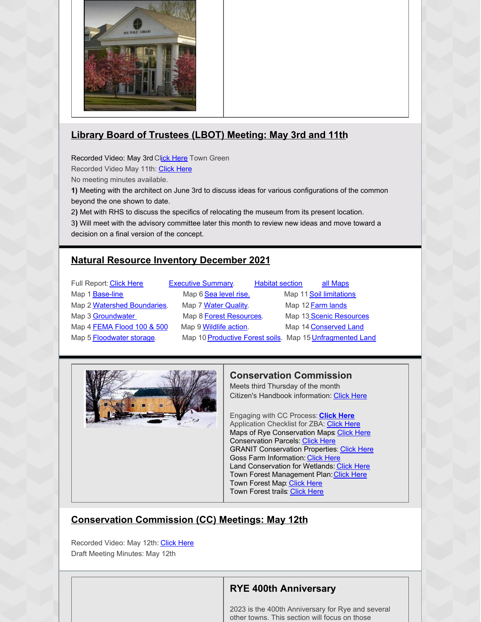

# **Library Board of Trustees (LBOT) Meeting: May 3rd and 11th**

Recorded Video: May 3rd Click [Here](https://townhallstreams.com/stream.php?location_id=66&id=45224) Town Green

Recorded Video May 11th: [Click](https://townhallstreams.com/stream.php?location_id=66&id=45407) Here

No meeting minutes available.

**1)** Meeting with the architect on June 3rd to discuss ideas for various configurations of the common beyond the one shown to date.

2**)** Met with RHS to discuss the specifics of relocating the museum from its present location.

3**)** Will meet with the advisory committee later this month to review new ideas and move toward a decision on a final version of the concept.

# **Natural Resource Inventory December 2021**

| Full Report: Click Here     | <b>Executive Summary.</b>                                | <b>Habitat section</b> | all Maps                |
|-----------------------------|----------------------------------------------------------|------------------------|-------------------------|
| Map 1 <b>Base-line</b>      | Map 6 Sea level rise.                                    |                        | Map 11 Soil limitations |
| Map 2 Watershed Boundaries. | Map 7 Water Quality.                                     |                        | Map 12 Farm lands       |
| Map 3 Groundwater           | Map 8 Forest Resources.                                  |                        | Map 13 Scenic Resources |
| Map 4 FEMA Flood 100 & 500  | Map 9 <b>Wildlife action</b> .                           |                        | Map 14 Conserved Land   |
| Map 5 Floodwater storage.   | Map 10 Productive Forest soils. Map 15 Unfragmented Land |                        |                         |
|                             |                                                          |                        |                         |



## **Conservation Commission**

Meets third Thursday of the month Citizen's Handbook information: [Click](https://ryecivicleague.org/wp-content/uploads/2020/10/Conservation-Commission-2020.pdf) Here

Engaging with CC Process: **[Click](https://www.town.rye.nh.us/conservation-commission/pages/process-nhdes-wetlands-applications-regular-expedited-and-shoreland) Here** Application Checklist for ZBA: [Click](https://www.town.rye.nh.us/sites/g/files/vyhlif3751/f/uploads/application_checklist_zba.pdf) Here Maps of Rye Conservation Maps: [Click](https://www.town.rye.nh.us/conservation-commission/pages/maps-conservation-lands-rye) Here **Conservation Parcels: [Click](https://www.town.rye.nh.us/sites/g/files/vyhlif3751/f/uploads/conslands_ryemp_24x36.pdf) Here GRANIT Conservation Properties: [Click](https://www.town.rye.nh.us/sites/g/files/vyhlif3751/f/uploads/conservation_land.pdf) Here** Goss Farm Information: [Click](https://www.town.rye.nh.us/conservation-commission/pages/goss-farm-information) Here Land Conservation for Wetlands: [Click](https://www.town.rye.nh.us/sites/g/files/vyhlif3751/f/uploads/nature_conservancy_nh_granit_nhdes_land_conservation_for_water_resource_protection_map_buffers_for_water_quality_protection_2018.pdf) Here Town Forest Management Plan: [Click](https://www.town.rye.nh.us/sites/g/files/vyhlif3751/f/uploads/town_forest_management_plan_-_final_08-2020.pdf) Here Town Forest Map: [Click](https://www.town.rye.nh.us/sites/g/files/vyhlif3751/f/uploads/featuresmap.pdf) Here Town Forest trails: [Click](https://www.town.rye.nh.us/sites/g/files/vyhlif3751/f/uploads/map_1.pdf) Here

# **Conservation Commission (CC) Meetings: May 12th**

Recorded Video: May 12th: [Click](https://townhallstreams.com/stream.php?location_id=32&id=45197) Here Draft Meeting Minutes: May 12th

## **RYE 400th Anniversary**

2023 is the 400th Anniversary for Rye and several other towns. This section will focus on those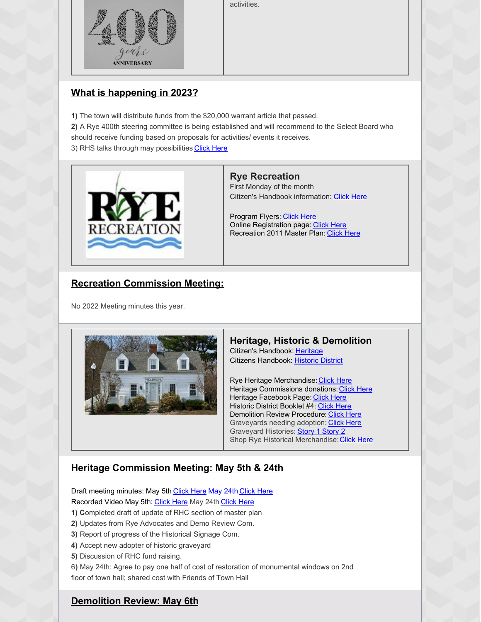activities.



# **What is happening in 2023?**

- **1)** The town will distribute funds from the \$20,000 warrant article that passed. **2)** A Rye 400th steering committee is being established and will recommend to the Select Board who should receive funding based on proposals for activities/ events it receives.
- 3) RHS talks through may possibilities [Click](https://ryecivicleague.org/wp-content/uploads/2022/06/May-2022-HDC.pdf) Here



#### **Rye Recreation**

First Monday of the month Citizen's Handbook information: [Click](https://ryecivicleague.org/wp-content/uploads/2020/10/Recreation-2020.pdf) Here

Program Flyers: [Click](https://www.town.rye.nh.us/recreation/pages/program-flyers) Here Online Registration page: [Click](https://web1.vermontsystems.com/wbwsc/nhryewt.wsc/splash.html) Here Recreation 2011 Master Plan: [Click](https://www.town.rye.nh.us/sites/g/files/vyhlif3751/f/uploads/rye_recreation_department_master_plan_2011.pdf) Here

# **Recreation Commission Meeting:**

No 2022 Meeting minutes this year.



# **Heritage, Historic & Demolition**

Citizen's Handbook: [Heritage](https://ryecivicleague.org/wp-content/uploads/2020/10/Heritage-Commision-2020.pdf) Citizens Handbook: [Historic](https://ryecivicleague.org/wp-content/uploads/2020/10/Historic-2020.pdf) District

Rye Heritage Merchandise: [Click](https://www.town.rye.nh.us/sites/g/files/vyhlif3751/f/uploads/hat_order_form.pdf) Here Heritage Commissions donations: [Click](https://www.eb2gov.com/EB2Gov.dll/TownLaunch?towncode=6862) Here Heritage Facebook Page: [Click](https://www.facebook.com/ryeheritage) Here Historic District Booklet #4: [Click](https://www.town.rye.nh.us/sites/g/files/vyhlif3751/f/uploads/hdc_booklet_4th_edition.pdf) Here Demolition Review Procedure: [Click](https://www.town.rye.nh.us/sites/g/files/vyhlif3751/f/uploads/demo_review_procedure_2012.pdf) Here Graveyards needing adoption: [Click](https://www.town.rye.nh.us/sites/g/files/vyhlif3751/f/uploads/graveyard_list_4-21-21.jpg) Here Graveyard Histories: **[Story](https://www.town.rye.nh.us/sites/g/files/vyhlif3751/f/uploads/graveyard_2.pdf) 1 Story 2** Shop Rye Historical Merchandise: [Click](https://www.ryenhhistoricalsociety.org/gift-shop) Here

## **Heritage Commission Meeting: May 5th & 24th**

Draft meeting minutes: May 5th [Click](https://www.town.rye.nh.us/sites/g/files/vyhlif3751/f/minutes/05-24-22_hc_minutes.pdf) Here May 24th Click Here Recorded Video May 5th: [Click](https://townhallstreams.com/stream.php?location_id=32&id=45613) Here May 24th Click Here

- **1) C**ompleted draft of update of RHC section of master plan
- **2)** Updates from Rye Advocates and Demo Review Com.
- **3)** Report of progress of the Historical Signage Com.
- **4)** Accept new adopter of historic graveyard
- **5)** Discussion of RHC fund raising.

6**)** May 24th: Agree to pay one half of cost of restoration of monumental windows on 2nd floor of town hall; shared cost with Friends of Town Hall

## **Demolition Review: May 6th**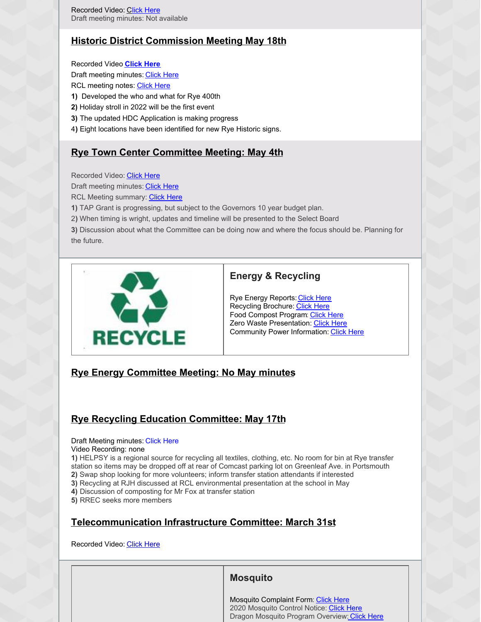# **Historic District Commission Meeting May 18th**

Recorded Video **[Click](https://townhallstreams.com/stream.php?location_id=32&id=45199) Here** Draft meeting minutes: [Click](https://www.town.rye.nh.us/sites/g/files/vyhlif3751/f/minutes/05-18-22_hdc_minutes.pdf) Here RCL meeting notes: [Click](https://ryecivicleague.org/wp-content/uploads/2022/06/May-2022-HDC.pdf) Here **1)** Developed the who and what for Rye 400th **2)** Holiday stroll in 2022 will be the first event **3)** The updated HDC Application is making progress 4**)** Eight locations have been identified for new Rye Historic signs.

# **Rye Town Center Committee Meeting: May 4th**

Recorded Video: Click [Here](https://townhallstreams.com/stream.php?location_id=32&id=45191)

Draft meeting minutes: [Click](https://www.town.rye.nh.us/select-board/minutes/rye-town-center-committee-minutes-12) Here

RCL Meeting summary: [Click](https://ryecivicleague.org/wp-content/uploads/2022/06/May-2022-RTCC-1.pdf) Here

**1)** TAP Grant is progressing, but subject to the Governors 10 year budget plan.

2**)** When timing is wright, updates and timeline will be presented to the Select Board

**3)** Discussion about what the Committee can be doing now and where the focus should be. Planning for the future.



## **Energy & Recycling**

Rye Energy Reports: [Click](https://www.town.rye.nh.us/energy-committee/pages/rye-energy-reports) Here Recycling Brochure: [Click](https://www.town.rye.nh.us/sites/g/files/vyhlif3751/f/uploads/recycling_center_brochure.pdf) Here Food Compost Program: [Click](https://www.town.rye.nh.us/sites/g/files/vyhlif3751/f/uploads/updated_rye_food_waste_collection_info_11_17_15.pdf) Here **Zero Waste Presentation: Click [Here](https://www.town.rye.nh.us/sites/g/files/vyhlif3751/f/uploads/wastezero_presentation_12-15-14.pdf)** Community Power Information: [Click](https://ryecivicleague.org/wp-content/uploads/2021/10/Brochure-two-pager-Community-Power.pdf) Here

## **Rye Energy Committee Meeting: No May minutes**

## **Rye Recycling Education Committee: May 17th**

Draft Meeting minutes: Click Here

Video Recording: none

**1)** HELPSY is a regional source for recycling all textiles, clothing, etc. No room for bin at Rye transfer station so items may be dropped off at rear of Comcast parking lot on Greenleaf Ave. in Portsmouth **2)** Swap shop looking for more volunteers; inform transfer station attendants if interested

**3)** Recycling at RJH discussed at RCL environmental presentation at the school in May

**4)** Discussion of composting for Mr Fox at transfer station

**5)** RREC seeks more members

# **Telecommunication Infrastructure Committee: March 31st**

Recorded Video: Click [Here](https://townhallstreams.com/stream.php?location_id=32&id=36502)

## **Mosquito**

Mosquito Complaint Form: [Click](https://www.town.rye.nh.us/sites/g/files/vyhlif3751/f/uploads/rmcc_complaint_report_form.pdf) Here 2020 Mosquito Control Notice: Click [Here](https://www.town.rye.nh.us/sites/g/files/vyhlif3751/f/uploads/rye_2020_0.pdf) Dragon Mosquito Program Overview: [Click](https://www.dropbox.com/sh/5x4xppdpjdwwpkl/AADqvMwqm98Ze-l5W_YnKQ1wa/2020 Minutes/October?dl=0&preview=BOT+10-13-2020+Meeting.mp4&subfolder_nav_tracking=1) Here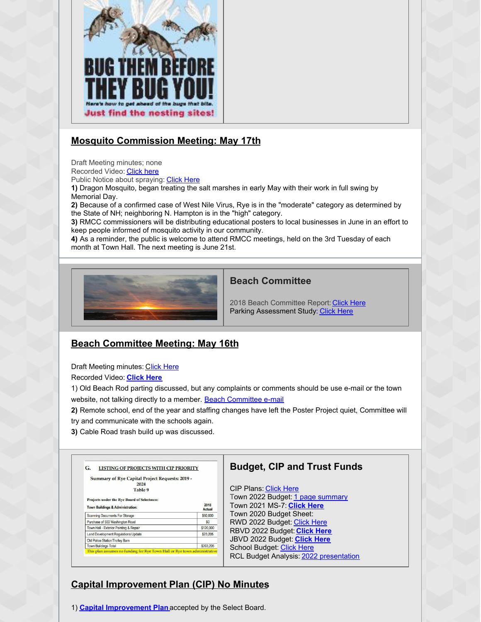

# **Mosquito Commission Meeting: May 17th**

Draft Meeting minutes; none

Recorded Video: [Click](https://townhallstreams.com/stream.php?location_id=32&id=45198) here

Public Notice about spraying: [Click](https://www.town.rye.nh.us/sites/g/files/vyhlif3751/f/uploads/rye_spray_notice_2022.pdf) Here

**1)** Dragon Mosquito, began treating the salt marshes in early May with their work in full swing by Memorial Day.

**2)** Because of a confirmed case of West Nile Virus, Rye is in the "moderate" category as determined by the State of NH; neighboring N. Hampton is in the "high" category.

**3)** RMCC commissioners will be distributing educational posters to local businesses in June in an effort to keep people informed of mosquito activity in our community.

**4)** As a reminder, the public is welcome to attend RMCC meetings, held on the 3rd Tuesday of each month at Town Hall. The next meeting is June 21st.



#### **Beach Committee**

2018 Beach Committee Report: [Click](https://www.town.rye.nh.us/sites/g/files/vyhlif3751/f/uploads/beach_committee_report_2018.pdf) Here Parking Assessment Study: [Click](https://www.town.rye.nh.us/sites/g/files/vyhlif3751/f/uploads/traffic_assessment_0.pdf) Here

## **Beach Committee Meeting: May 16th**

Draft Meeting minutes: [C](https://www.town.rye.nh.us/sites/g/files/vyhlif3751/f/minutes/05-16-22_beach_comm_minutes.pdf)lick [Here](https://www.town.rye.nh.us/sites/g/files/vyhlif3751/f/minutes/05-16-22_beach_comm_minutes.pdf)

Recorded Video: **[Click](https://townhallstreams.com/stream.php?location_id=32&id=45295) Here**

1) Old Beach Rod parting discussed, but any complaints or comments should be use e-mail or the town website, not talking directly to a member. Beach [Committee](mailto:beachcommittee@town.rye.nh.us) e-mail

- **2)** Remote school, end of the year and staffing changes have left the Poster Project quiet, Committee will try and communicate with the schools again.
- **3)** Cable Road trash build up was discussed.

| <b>Summary of Rye Capital Project Requests: 2019 -</b><br>2024 |                       |
|----------------------------------------------------------------|-----------------------|
| Table 9                                                        |                       |
| <b>Projects under the Rye Board of Selectmen:</b>              |                       |
| <b>Town Buildings &amp; Administration:</b>                    | 2018<br><b>Actual</b> |
| <b>Scanning Documents For Storage</b>                          | \$60,000              |
| Purchase of 500 Washington Road                                | \$0                   |
| Town Hall - Exterior Painting & Repair                         | \$120,000             |
| <b>Land Development Requlations Update</b>                     | \$23,205              |
| Old Police Station/Trolley Barn                                |                       |
|                                                                | \$203,205             |

## **Budget, CIP and Trust Funds**

CIP Plans: [Click](https://www.town.rye.nh.us/capital-improvements-program-committee/pages/capital-improvements-plans) Here Town 2022 Budget: 1 page [summary](https://ryecivicleague.org/wp-content/uploads/2022/02/2022-Budget-Sheet-Delib-meeting.pdf) Town 2021 MS-7: **[Click](https://ryecivicleague.org/wp-content/uploads/2021/01/2021_MS7.pdf) Here** Town 2020 Budget Sheet: RWD 2022 Budget: [Click](https://ryecivicleague.org/wp-content/uploads/2022/02/RWD-BUDGET-2022.pdf) Here RBVD 2022 Budget: **[Click](https://ryecivicleague.org/wp-content/uploads/2022/02/RBVD-2022-Proposed-Budget.pdf) Here** JBVD 2022 Budget: **[Click](https://ryecivicleague.org/wp-content/uploads/2022/02/JBVD-Budget-2022.pdf) Here** School Budget: [Click](https://ryecivicleague.org/wp-content/uploads/2022/02/School-Budget-1-page-22-23.pdf) Here RCL Budget Analysis: 2022 [presentation](https://ryecivicleague.org/wp-content/uploads/2022/02/RCL-2022-Budget-Analysis-Pre-Delib.pdf)

# **Capital Improvement Plan (CIP) No Minutes**

1) **Capital [Improvement](https://www.town.rye.nh.us/sites/g/files/vyhlif3751/f/uploads/2022-2027_cip_final.pdf) Plan** accepted by the Select Board.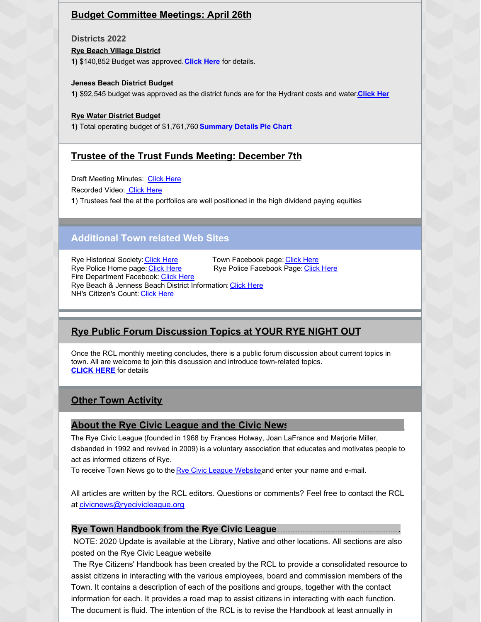## **Budget Committee Meetings: April 26th**

**Districts 2022**

**Rye Beach Village District**

**1)** \$140,852 Budget was approved.**[Click](https://ryecivicleague.org/wp-content/uploads/2022/02/RBVD-2022-Proposed-Budget.pdf) Here** for details.

**Jeness Beach District Budget**

**1)** \$92,545 budget was approved as the district funds are for the Hydrant costs and water.**[Click](https://ryecivicleague.org/wp-content/uploads/2022/02/JBVD-Budget-2022-1.pdf) Her**

**Rye Water District Budget**

**1)** Total operating budget of \$1,761,760 **[Summary](https://ryecivicleague.org/wp-content/uploads/2022/02/RWD-BUDGET-SUMMARY-2022.pdf) [Details](https://ryecivicleague.org/wp-content/uploads/2022/02/RWD-BUDGET-2022.pdf) Pie [Chart](https://ryecivicleague.org/wp-content/uploads/2022/02/RWD-APPROPRIATIONS-BY-DEPT-2022.pdf)**

#### **Trustee of the Trust Funds Meeting: December 7th**

Draft Meeting Minutes: [Click](https://www.town.rye.nh.us/sites/g/files/vyhlif3751/f/minutes/12-07-21_ttf_minutes.pdf) Here

Recorded Video: [Click](https://www.townhallstreams.com/stream.php?location_id=32&id=41529) Here

**1**) Trustees feel the at the portfolios are well positioned in the high dividend paying equities

## **Additional Town related Web Sites**

Rye Historical Society: Click [Here.](https://www.ryenhhistoricalsociety.org/)................Town Facebook page: [Click](https://www.facebook.com/TownofRyeNH/) Here Rye Police Facebook Page: [Click](https://www.facebook.com/ryepolice/) Here Fire Department Facebook: [Click](https://www.facebook.com/RyeFireRescue/) Here Rye Beach & Jenness Beach District Information: [Click](https://ryecivicleague.org/?p=2380) Here NH's Citizen's Count: [Click](https://www.citizenscount.org/) Here

## **Rye Public Forum Discussion Topics at YOUR RYE NIGHT OUT**

Once the RCL monthly meeting concludes, there is a public forum discussion about current topics in town. All are welcome to join this discussion and introduce town-related topics. **[CLICK](https://ryecivicleague.org/?p=6194) HERE** for details

## **Other Town Activity**

#### **About the Rye Civic League and the Civic News**............................................

The Rye Civic League (founded in 1968 by Frances Holway, Joan LaFrance and Marjorie Miller, disbanded in 1992 and revived in 2009) is a voluntary association that educates and motivates people to act as informed citizens of Rye.

To receive Town News go to the Rye Civic League [Website](http://r20.rs6.net/tn.jsp?t=xkvxbzabb.0.0.dyij4jiab.0&id=preview&r=3&p=http%3A%2F%2Fryecivicleague.org%2F) and enter your name and e-mail.

All articles are written by the RCL editors. Questions or comments? Feel free to contact the RCL at [civicnews@ryecivicleague.org](mailto:civicnews@ryecivicleague.org)

#### **Rye Town Handbook from the Rye Civic League:.................................................**

NOTE: 2020 Update is available at the Library, Native and other locations. All sections are also posted on the Rye Civic League website

The Rye Citizens' Handbook has been created by the RCL to provide a consolidated resource to assist citizens in interacting with the various employees, board and commission members of the Town. It contains a description of each of the positions and groups, together with the contact information for each. It provides a road map to assist citizens in interacting with each function. The document is fluid. The intention of the RCL is to revise the Handbook at least annually in